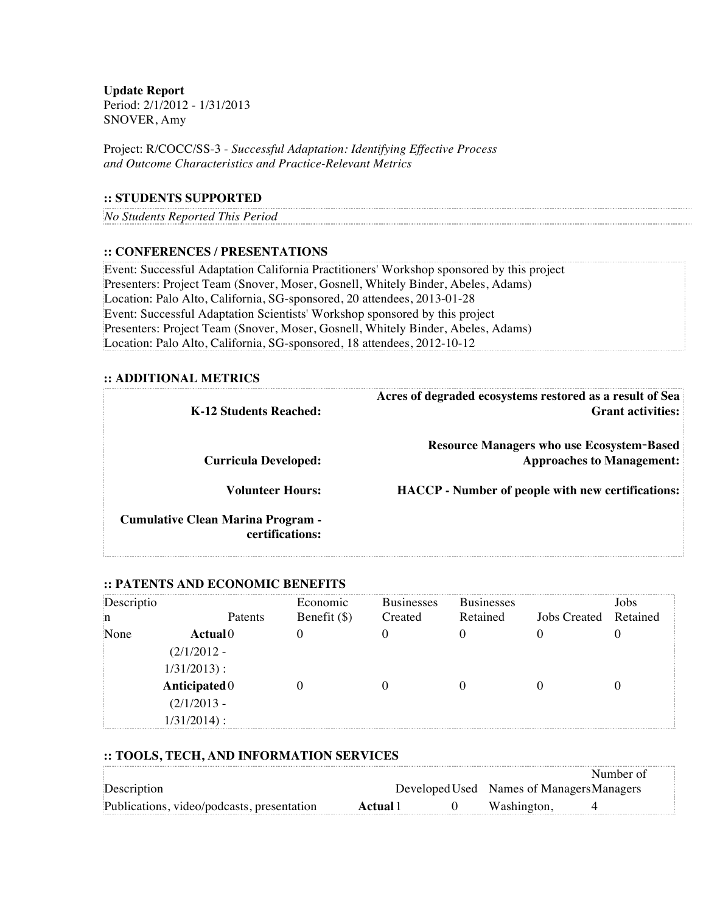**Update Report** Period: 2/1/2012 - 1/31/2013 SNOVER, Amy

Project: R/COCC/SS-3 - *Successful Adaptation: Identifying Effective Process and Outcome Characteristics and Practice-Relevant Metrics*

### **:: STUDENTS SUPPORTED**

*No Students Reported This Period*

#### **:: CONFERENCES / PRESENTATIONS**

Event: Successful Adaptation California Practitioners' Workshop sponsored by this project Presenters: Project Team (Snover, Moser, Gosnell, Whitely Binder, Abeles, Adams) Location: Palo Alto, California, SG-sponsored, 20 attendees, 2013-01-28 Event: Successful Adaptation Scientists' Workshop sponsored by this project Presenters: Project Team (Snover, Moser, Gosnell, Whitely Binder, Abeles, Adams) Location: Palo Alto, California, SG-sponsored, 18 attendees, 2012-10-12

#### **:: ADDITIONAL METRICS**

| K-12 Students Reached:                                      | Acres of degraded ecosystems restored as a result of Sea<br><b>Grant activities:</b> |
|-------------------------------------------------------------|--------------------------------------------------------------------------------------|
| <b>Curricula Developed:</b>                                 | <b>Resource Managers who use Ecosystem-Based</b><br><b>Approaches to Management:</b> |
| <b>Volunteer Hours:</b>                                     | <b>HACCP</b> - Number of people with new certifications:                             |
| <b>Cumulative Clean Marina Program -</b><br>certifications: |                                                                                      |

#### **:: PATENTS AND ECONOMIC BENEFITS**

| Descriptio      |               | Economic       | <b>Businesses</b> | <b>Businesses</b> |                     | Jobs     |
|-----------------|---------------|----------------|-------------------|-------------------|---------------------|----------|
| n               | Patents       | Benefit $(\$)$ | Created           | Retained          | <b>Jobs Created</b> | Retained |
| None            | Actual0       |                |                   |                   |                     |          |
|                 | $(2/1/2012 -$ |                |                   |                   |                     |          |
|                 | $1/31/2013$ : |                |                   |                   |                     |          |
| Anticipated $0$ |               |                |                   |                   |                     |          |
| $(2/1/2013 -$   |               |                |                   |                   |                     |          |
|                 | $1/31/2014$ : |                |                   |                   |                     |          |

#### **:: TOOLS, TECH, AND INFORMATION SERVICES**

|                                            |          |                                           | Number of |
|--------------------------------------------|----------|-------------------------------------------|-----------|
| Description                                |          | Developed Used Names of Managers Managers |           |
| Publications, video/podcasts, presentation | Actual 1 | Washington.                               |           |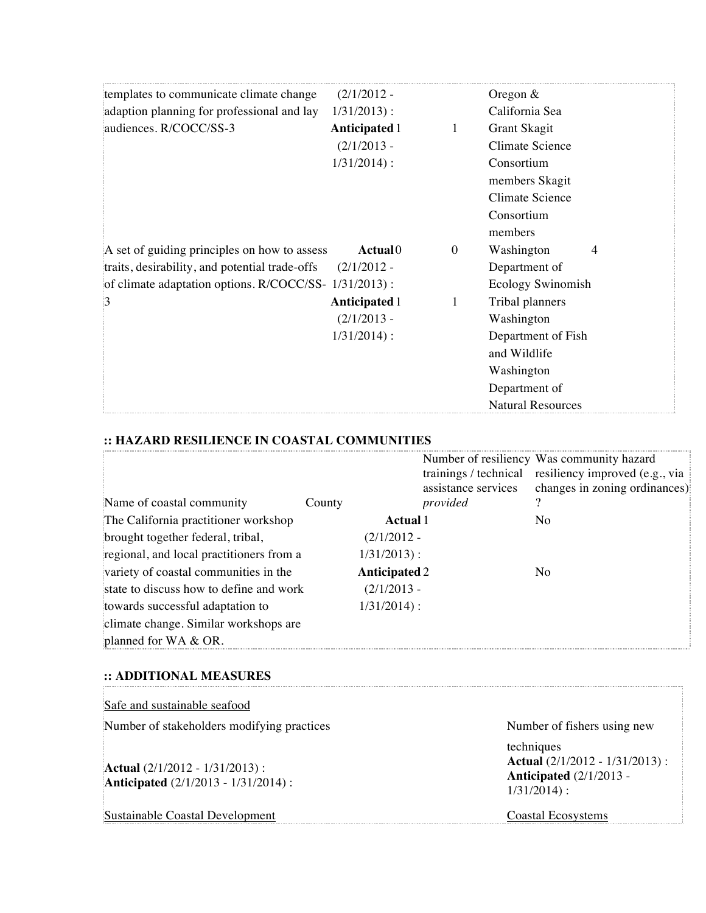| templates to communicate climate change               | $(2/1/2012 -$        |                  | Oregon $&$               |
|-------------------------------------------------------|----------------------|------------------|--------------------------|
| adaption planning for professional and lay            | $1/31/2013$ :        |                  | California Sea           |
| audiences. R/COCC/SS-3                                | <b>Anticipated 1</b> | 1                | Grant Skagit             |
|                                                       | $(2/1/2013 -$        |                  | <b>Climate Science</b>   |
|                                                       | $1/31/2014$ :        |                  | Consortium               |
|                                                       |                      |                  | members Skagit           |
|                                                       |                      |                  | <b>Climate Science</b>   |
|                                                       |                      |                  | Consortium               |
|                                                       |                      |                  | members                  |
| A set of guiding principles on how to assess          | Actual <sup>0</sup>  | $\boldsymbol{0}$ | Washington<br>4          |
| traits, desirability, and potential trade-offs        | $(2/1/2012 -$        |                  | Department of            |
| of climate adaptation options. R/COCC/SS- 1/31/2013): |                      |                  | <b>Ecology Swinomish</b> |
| $\beta$                                               | <b>Anticipated 1</b> | 1                | Tribal planners          |
|                                                       | $(2/1/2013 -$        |                  | Washington               |
|                                                       | $1/31/2014$ :        |                  | Department of Fish       |
|                                                       |                      |                  | and Wildlife             |
|                                                       |                      |                  | Washington               |
|                                                       |                      |                  | Department of            |
|                                                       |                      |                  | <b>Natural Resources</b> |

# **:: HAZARD RESILIENCE IN COASTAL COMMUNITIES**

| Name of coastal community                | County               | assistance services<br>provided | Number of resiliency Was community hazard<br>trainings / technical resiliency improved (e.g., via<br>changes in zoning ordinances) |
|------------------------------------------|----------------------|---------------------------------|------------------------------------------------------------------------------------------------------------------------------------|
| The California practitioner workshop     | Actual 1             |                                 | No                                                                                                                                 |
| brought together federal, tribal,        | $(2/1/2012 -$        |                                 |                                                                                                                                    |
| regional, and local practitioners from a | $1/31/2013$ :        |                                 |                                                                                                                                    |
| variety of coastal communities in the    | <b>Anticipated 2</b> |                                 | No.                                                                                                                                |
| state to discuss how to define and work  | $(2/1/2013 -$        |                                 |                                                                                                                                    |
| towards successful adaptation to         | $1/31/2014$ :        |                                 |                                                                                                                                    |
| climate change. Similar workshops are    |                      |                                 |                                                                                                                                    |
| planned for WA & OR.                     |                      |                                 |                                                                                                                                    |

### **:: ADDITIONAL MEASURES**

T.

| Safe and sustainable seafood                                                            |                                                                                                      |
|-----------------------------------------------------------------------------------------|------------------------------------------------------------------------------------------------------|
| Number of stakeholders modifying practices                                              | Number of fishers using new                                                                          |
| <b>Actual</b> $(2/1/2012 - 1/31/2013)$ :<br><b>Anticipated</b> (2/1/2013 - 1/31/2014) : | techniques<br><b>Actual</b> $(2/1/2012 - 1/31/2013)$ :<br>Anticipated $(2/1/2013 -$<br>$1/31/2014$ : |
| Sustainable Coastal Development                                                         | Coastal Ecosystems                                                                                   |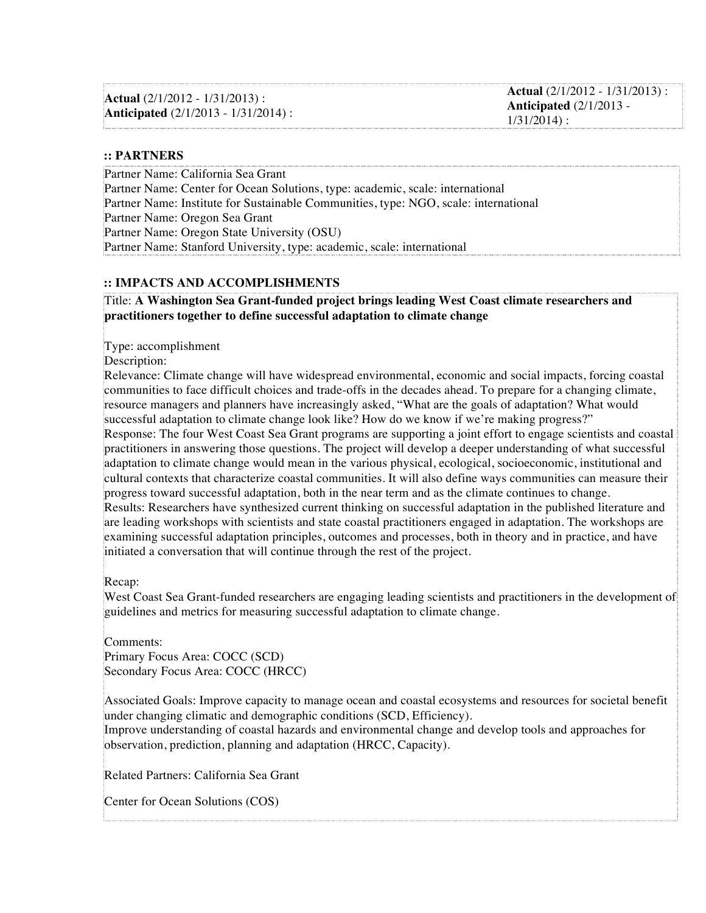**Actual** (2/1/2012 - 1/31/2013) : **Anticipated** (2/1/2013 - 1/31/2014) :

#### **:: PARTNERS**

Partner Name: California Sea Grant Partner Name: Center for Ocean Solutions, type: academic, scale: international Partner Name: Institute for Sustainable Communities, type: NGO, scale: international Partner Name: Oregon Sea Grant Partner Name: Oregon State University (OSU) Partner Name: Stanford University, type: academic, scale: international

#### **:: IMPACTS AND ACCOMPLISHMENTS**

Title: **A Washington Sea Grant-funded project brings leading West Coast climate researchers and practitioners together to define successful adaptation to climate change**

Type: accomplishment

Description:

Relevance: Climate change will have widespread environmental, economic and social impacts, forcing coastal communities to face difficult choices and trade-offs in the decades ahead. To prepare for a changing climate, resource managers and planners have increasingly asked, "What are the goals of adaptation? What would successful adaptation to climate change look like? How do we know if we're making progress?" Response: The four West Coast Sea Grant programs are supporting a joint effort to engage scientists and coastal practitioners in answering those questions. The project will develop a deeper understanding of what successful adaptation to climate change would mean in the various physical, ecological, socioeconomic, institutional and cultural contexts that characterize coastal communities. It will also define ways communities can measure their progress toward successful adaptation, both in the near term and as the climate continues to change. Results: Researchers have synthesized current thinking on successful adaptation in the published literature and are leading workshops with scientists and state coastal practitioners engaged in adaptation. The workshops are examining successful adaptation principles, outcomes and processes, both in theory and in practice, and have initiated a conversation that will continue through the rest of the project.

Recap:

West Coast Sea Grant-funded researchers are engaging leading scientists and practitioners in the development of guidelines and metrics for measuring successful adaptation to climate change.

Comments: Primary Focus Area: COCC (SCD) Secondary Focus Area: COCC (HRCC)

Associated Goals: Improve capacity to manage ocean and coastal ecosystems and resources for societal benefit under changing climatic and demographic conditions (SCD, Efficiency).

Improve understanding of coastal hazards and environmental change and develop tools and approaches for observation, prediction, planning and adaptation (HRCC, Capacity).

Related Partners: California Sea Grant

Center for Ocean Solutions (COS)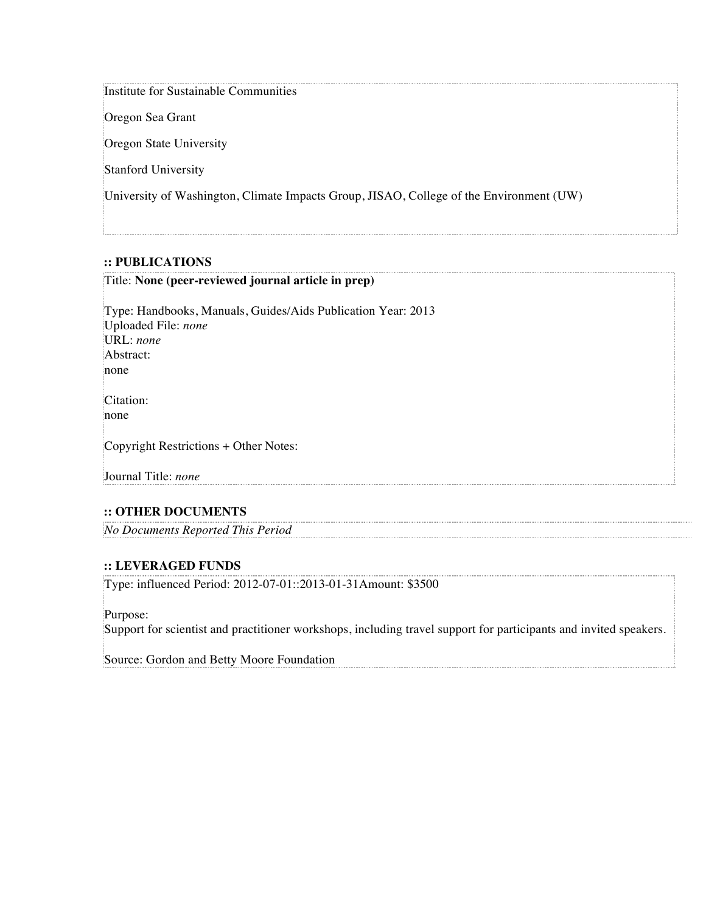#### Institute for Sustainable Communities

Oregon Sea Grant

Oregon State University

Stanford University

University of Washington, Climate Impacts Group, JISAO, College of the Environment (UW)

#### **:: PUBLICATIONS**

#### Title: **None (peer-reviewed journal article in prep)**

Type: Handbooks, Manuals, Guides/Aids Publication Year: 2013 Uploaded File: *none* URL: *none* Abstract: none Citation: none Copyright Restrictions + Other Notes: Journal Title: *none*

#### **:: OTHER DOCUMENTS**

*No Documents Reported This Period*

#### **:: LEVERAGED FUNDS**

Type: influenced Period: 2012-07-01::2013-01-31Amount: \$3500

Purpose:

Support for scientist and practitioner workshops, including travel support for participants and invited speakers.

Source: Gordon and Betty Moore Foundation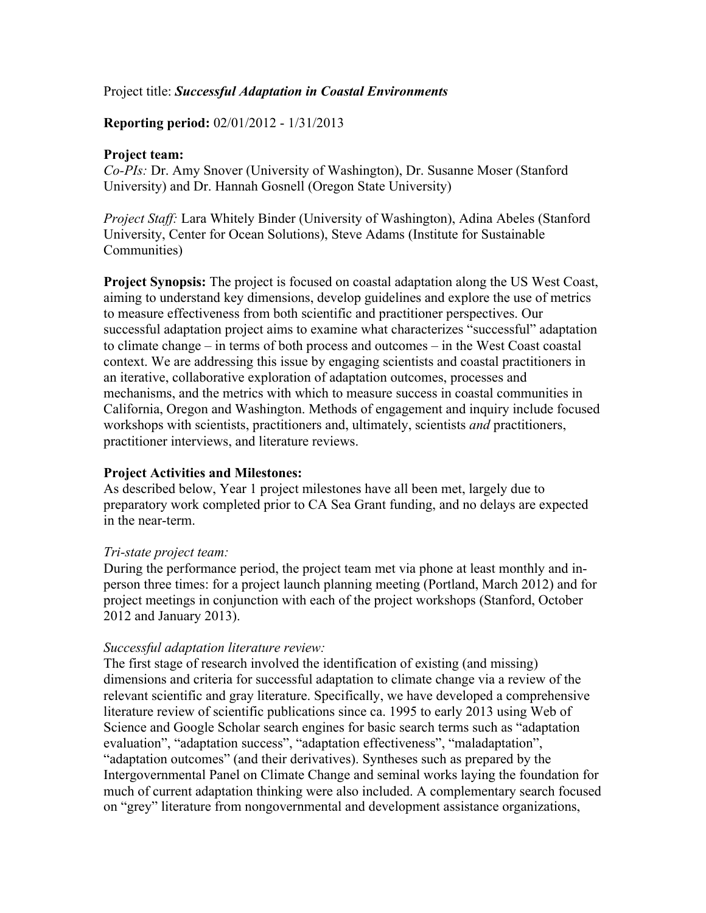### Project title: *Successful Adaptation in Coastal Environments*

### **Reporting period:** 02/01/2012 - 1/31/2013

### **Project team:**

*Co-PIs:* Dr. Amy Snover (University of Washington), Dr. Susanne Moser (Stanford University) and Dr. Hannah Gosnell (Oregon State University)

*Project Staff:* Lara Whitely Binder (University of Washington), Adina Abeles (Stanford University, Center for Ocean Solutions), Steve Adams (Institute for Sustainable Communities)

**Project Synopsis:** The project is focused on coastal adaptation along the US West Coast, aiming to understand key dimensions, develop guidelines and explore the use of metrics to measure effectiveness from both scientific and practitioner perspectives. Our successful adaptation project aims to examine what characterizes "successful" adaptation to climate change – in terms of both process and outcomes – in the West Coast coastal context. We are addressing this issue by engaging scientists and coastal practitioners in an iterative, collaborative exploration of adaptation outcomes, processes and mechanisms, and the metrics with which to measure success in coastal communities in California, Oregon and Washington. Methods of engagement and inquiry include focused workshops with scientists, practitioners and, ultimately, scientists *and* practitioners, practitioner interviews, and literature reviews.

### **Project Activities and Milestones:**

As described below, Year 1 project milestones have all been met, largely due to preparatory work completed prior to CA Sea Grant funding, and no delays are expected in the near-term.

### *Tri-state project team:*

During the performance period, the project team met via phone at least monthly and inperson three times: for a project launch planning meeting (Portland, March 2012) and for project meetings in conjunction with each of the project workshops (Stanford, October 2012 and January 2013).

#### *Successful adaptation literature review:*

The first stage of research involved the identification of existing (and missing) dimensions and criteria for successful adaptation to climate change via a review of the relevant scientific and gray literature. Specifically, we have developed a comprehensive literature review of scientific publications since ca. 1995 to early 2013 using Web of Science and Google Scholar search engines for basic search terms such as "adaptation evaluation", "adaptation success", "adaptation effectiveness", "maladaptation", "adaptation outcomes" (and their derivatives). Syntheses such as prepared by the Intergovernmental Panel on Climate Change and seminal works laying the foundation for much of current adaptation thinking were also included. A complementary search focused on "grey" literature from nongovernmental and development assistance organizations,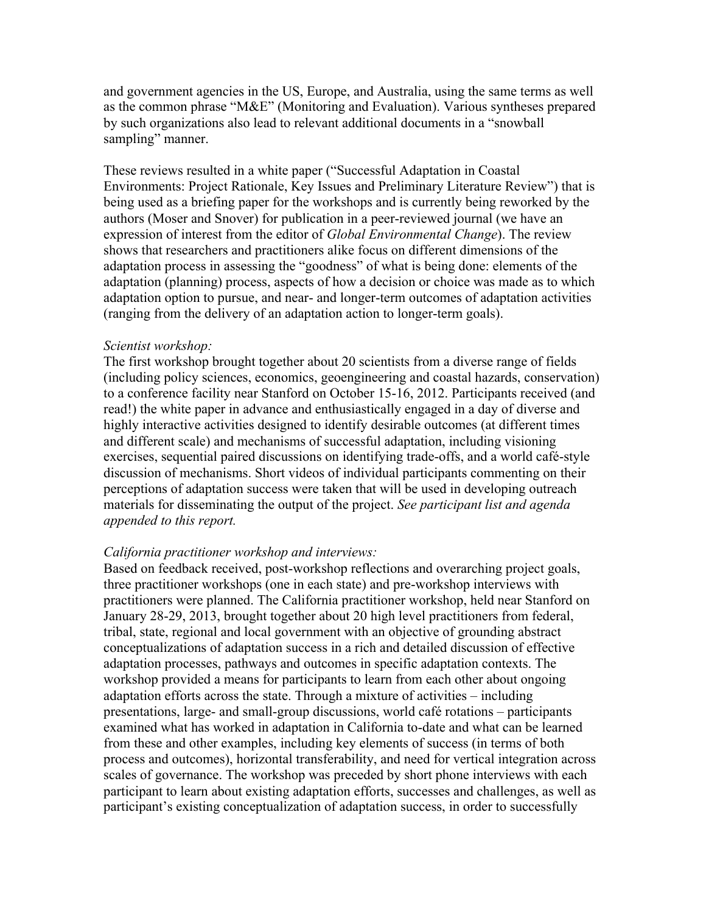and government agencies in the US, Europe, and Australia, using the same terms as well as the common phrase "M&E" (Monitoring and Evaluation). Various syntheses prepared by such organizations also lead to relevant additional documents in a "snowball sampling" manner.

These reviews resulted in a white paper ("Successful Adaptation in Coastal Environments: Project Rationale, Key Issues and Preliminary Literature Review") that is being used as a briefing paper for the workshops and is currently being reworked by the authors (Moser and Snover) for publication in a peer-reviewed journal (we have an expression of interest from the editor of *Global Environmental Change*). The review shows that researchers and practitioners alike focus on different dimensions of the adaptation process in assessing the "goodness" of what is being done: elements of the adaptation (planning) process, aspects of how a decision or choice was made as to which adaptation option to pursue, and near- and longer-term outcomes of adaptation activities (ranging from the delivery of an adaptation action to longer-term goals).

#### *Scientist workshop:*

The first workshop brought together about 20 scientists from a diverse range of fields (including policy sciences, economics, geoengineering and coastal hazards, conservation) to a conference facility near Stanford on October 15-16, 2012. Participants received (and read!) the white paper in advance and enthusiastically engaged in a day of diverse and highly interactive activities designed to identify desirable outcomes (at different times and different scale) and mechanisms of successful adaptation, including visioning exercises, sequential paired discussions on identifying trade-offs, and a world café-style discussion of mechanisms. Short videos of individual participants commenting on their perceptions of adaptation success were taken that will be used in developing outreach materials for disseminating the output of the project. *See participant list and agenda appended to this report.*

#### *California practitioner workshop and interviews:*

Based on feedback received, post-workshop reflections and overarching project goals, three practitioner workshops (one in each state) and pre-workshop interviews with practitioners were planned. The California practitioner workshop, held near Stanford on January 28-29, 2013, brought together about 20 high level practitioners from federal, tribal, state, regional and local government with an objective of grounding abstract conceptualizations of adaptation success in a rich and detailed discussion of effective adaptation processes, pathways and outcomes in specific adaptation contexts. The workshop provided a means for participants to learn from each other about ongoing adaptation efforts across the state. Through a mixture of activities – including presentations, large- and small-group discussions, world café rotations – participants examined what has worked in adaptation in California to-date and what can be learned from these and other examples, including key elements of success (in terms of both process and outcomes), horizontal transferability, and need for vertical integration across scales of governance. The workshop was preceded by short phone interviews with each participant to learn about existing adaptation efforts, successes and challenges, as well as participant's existing conceptualization of adaptation success, in order to successfully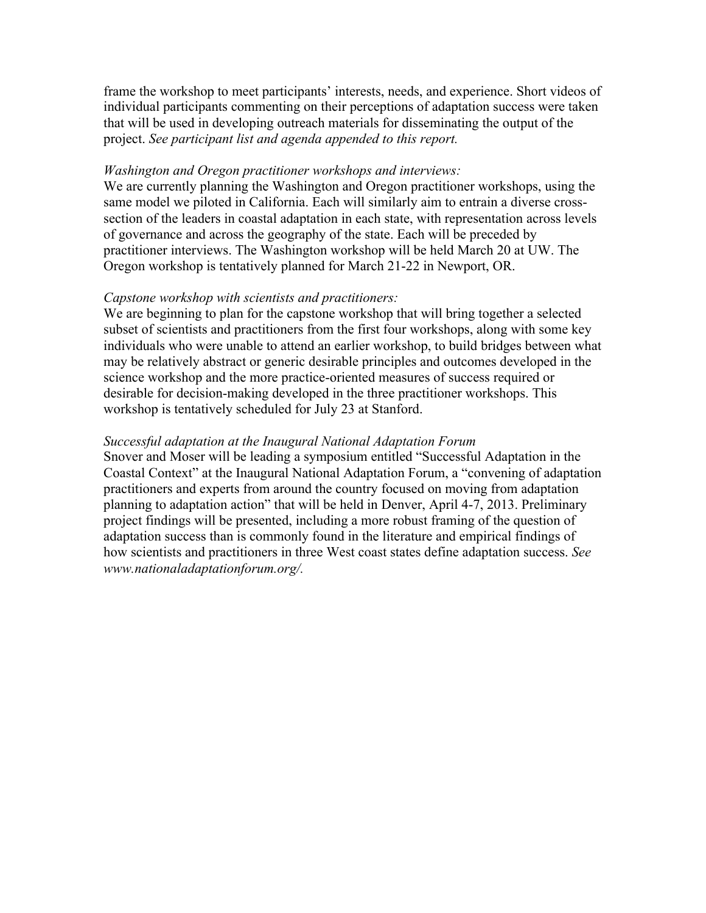frame the workshop to meet participants' interests, needs, and experience. Short videos of individual participants commenting on their perceptions of adaptation success were taken that will be used in developing outreach materials for disseminating the output of the project. *See participant list and agenda appended to this report.*

### *Washington and Oregon practitioner workshops and interviews:*

We are currently planning the Washington and Oregon practitioner workshops, using the same model we piloted in California. Each will similarly aim to entrain a diverse crosssection of the leaders in coastal adaptation in each state, with representation across levels of governance and across the geography of the state. Each will be preceded by practitioner interviews. The Washington workshop will be held March 20 at UW. The Oregon workshop is tentatively planned for March 21-22 in Newport, OR.

### *Capstone workshop with scientists and practitioners:*

We are beginning to plan for the capstone workshop that will bring together a selected subset of scientists and practitioners from the first four workshops, along with some key individuals who were unable to attend an earlier workshop, to build bridges between what may be relatively abstract or generic desirable principles and outcomes developed in the science workshop and the more practice-oriented measures of success required or desirable for decision-making developed in the three practitioner workshops. This workshop is tentatively scheduled for July 23 at Stanford.

## *Successful adaptation at the Inaugural National Adaptation Forum*

Snover and Moser will be leading a symposium entitled "Successful Adaptation in the Coastal Context" at the Inaugural National Adaptation Forum, a "convening of adaptation practitioners and experts from around the country focused on moving from adaptation planning to adaptation action" that will be held in Denver, April 4-7, 2013. Preliminary project findings will be presented, including a more robust framing of the question of adaptation success than is commonly found in the literature and empirical findings of how scientists and practitioners in three West coast states define adaptation success. *See www.nationaladaptationforum.org/.*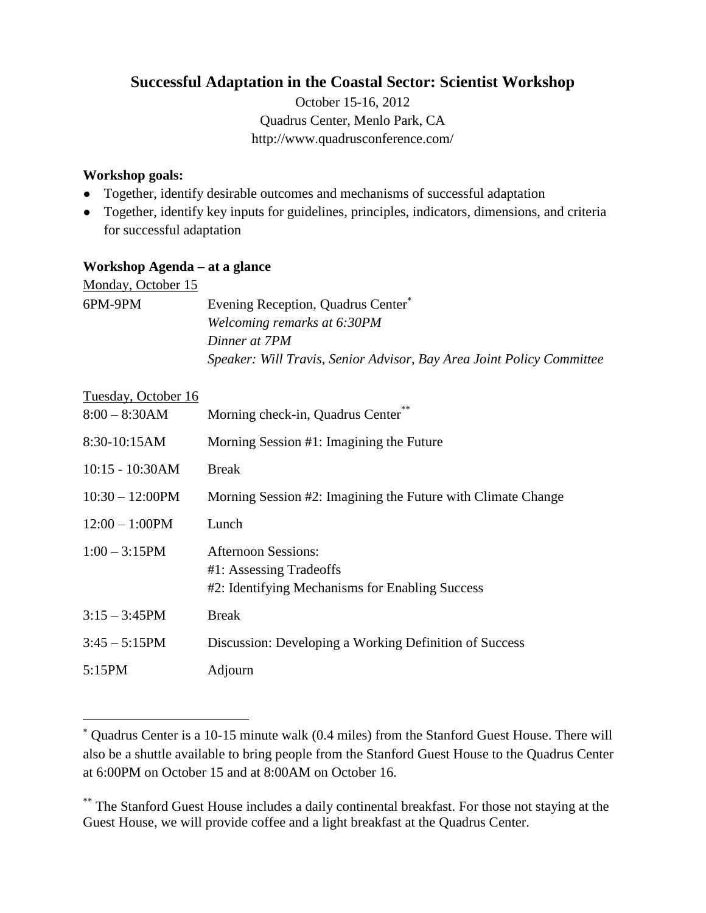# **Successful Adaptation in the Coastal Sector: Scientist Workshop**

October 15-16, 2012 Quadrus Center, Menlo Park, CA <http://www.quadrusconference.com/>

## **Workshop goals:**

- Together, identify desirable outcomes and mechanisms of successful adaptation
- Together, identify key inputs for guidelines, principles, indicators, dimensions, and criteria for successful adaptation

# **Workshop Agenda – at a glance**

| Monday, October 15 |                                                                       |
|--------------------|-----------------------------------------------------------------------|
| 6PM-9PM            | Evening Reception, Quadrus Center <sup>*</sup>                        |
|                    | Welcoming remarks at 6:30PM                                           |
|                    | Dinner at 7PM                                                         |
|                    | Speaker: Will Travis, Senior Advisor, Bay Area Joint Policy Committee |

### Tuesday, October 16

 $\overline{a}$ 

| $8:00 - 8:30AM$    | Morning check-in, Quadrus Center                                                                         |
|--------------------|----------------------------------------------------------------------------------------------------------|
| 8:30-10:15AM       | Morning Session #1: Imagining the Future                                                                 |
| $10:15 - 10:30AM$  | <b>Break</b>                                                                                             |
| $10:30 - 12:00$ PM | Morning Session #2: Imagining the Future with Climate Change                                             |
| $12:00 - 1:00$ PM  | Lunch                                                                                                    |
| $1:00 - 3:15$ PM   | <b>Afternoon Sessions:</b><br>#1: Assessing Tradeoffs<br>#2: Identifying Mechanisms for Enabling Success |
| $3:15 - 3:45$ PM   | <b>Break</b>                                                                                             |
| $3:45 - 5:15PM$    | Discussion: Developing a Working Definition of Success                                                   |
| 5:15PM             | Adjourn                                                                                                  |

Quadrus Center is a 10-15 minute walk (0.4 miles) from the Stanford Guest House. There will also be a shuttle available to bring people from the Stanford Guest House to the Quadrus Center at 6:00PM on October 15 and at 8:00AM on October 16.

<sup>\*\*</sup> The Stanford Guest House includes a daily continental breakfast. For those not staying at the Guest House, we will provide coffee and a light breakfast at the Quadrus Center.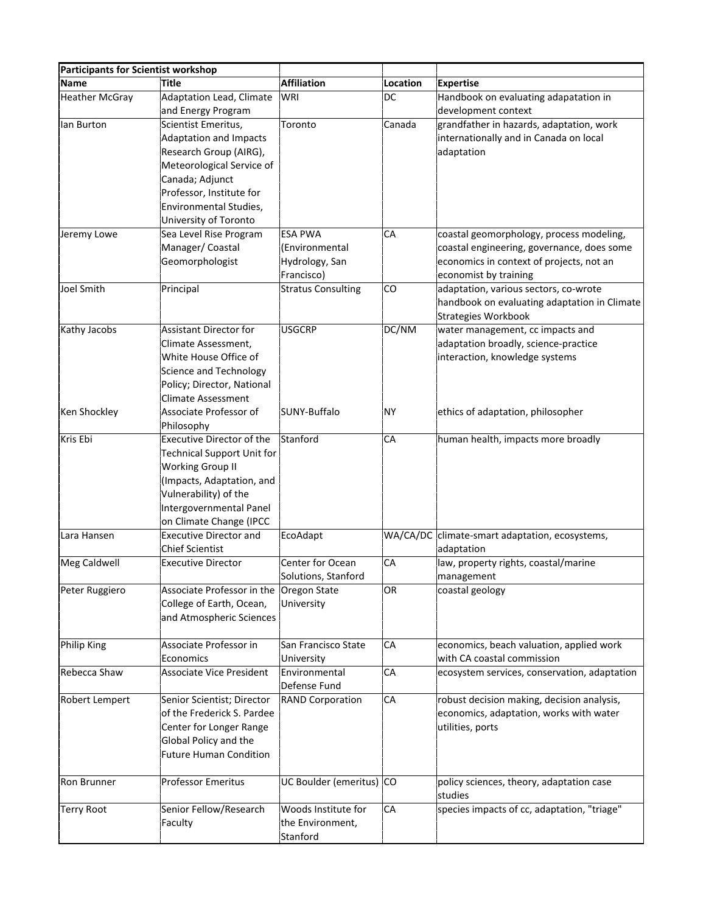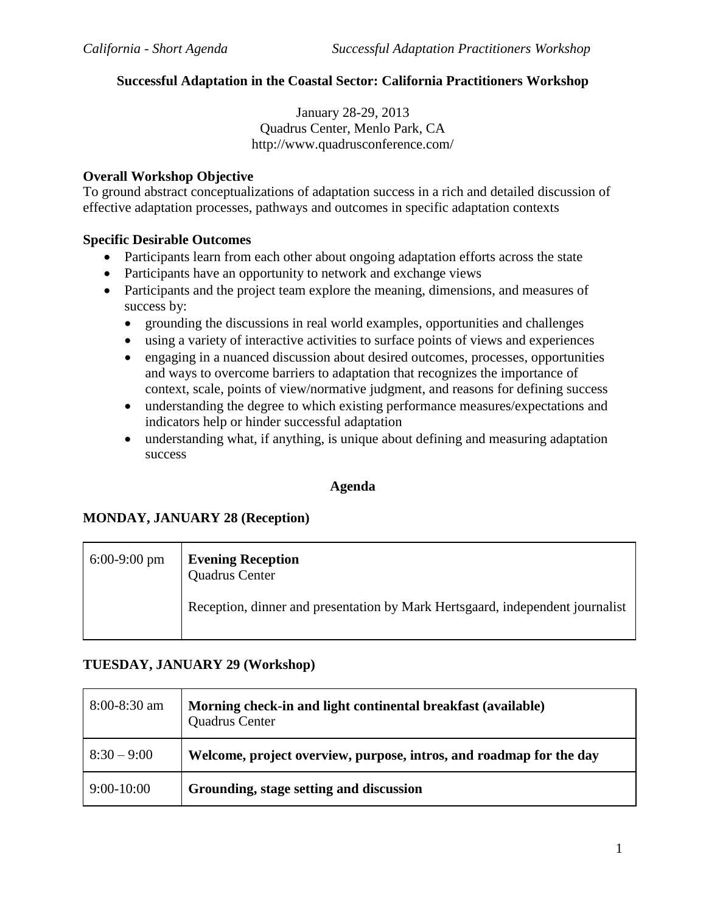### **Successful Adaptation in the Coastal Sector: California Practitioners Workshop**

January 28-29, 2013 Quadrus Center, Menlo Park, CA <http://www.quadrusconference.com/>

### **Overall Workshop Objective**

To ground abstract conceptualizations of adaptation success in a rich and detailed discussion of effective adaptation processes, pathways and outcomes in specific adaptation contexts

### **Specific Desirable Outcomes**

- Participants learn from each other about ongoing adaptation efforts across the state
- Participants have an opportunity to network and exchange views
- Participants and the project team explore the meaning, dimensions, and measures of success by:
	- grounding the discussions in real world examples, opportunities and challenges
	- using a variety of interactive activities to surface points of views and experiences
	- engaging in a nuanced discussion about desired outcomes, processes, opportunities and ways to overcome barriers to adaptation that recognizes the importance of context, scale, points of view/normative judgment, and reasons for defining success
	- understanding the degree to which existing performance measures/expectations and indicators help or hinder successful adaptation
	- understanding what, if anything, is unique about defining and measuring adaptation success

### **Agenda**

### **MONDAY, JANUARY 28 (Reception)**

| $6:00-9:00$ pm | <b>Evening Reception</b><br><b>Quadrus Center</b>                             |
|----------------|-------------------------------------------------------------------------------|
|                | Reception, dinner and presentation by Mark Hertsgaard, independent journalist |

### **TUESDAY, JANUARY 29 (Workshop)**

| $8:00-8:30$ am | Morning check-in and light continental breakfast (available)<br><b>Quadrus Center</b> |
|----------------|---------------------------------------------------------------------------------------|
| $8:30 - 9:00$  | Welcome, project overview, purpose, intros, and roadmap for the day                   |
| $9:00-10:00$   | Grounding, stage setting and discussion                                               |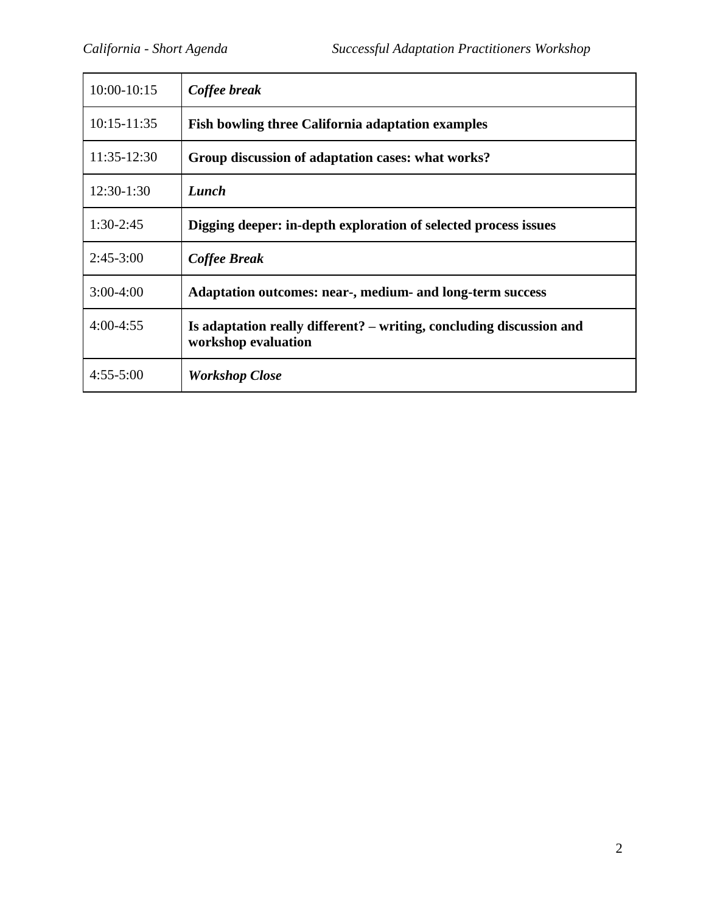| 10:00-10:15     | Coffee break                                                                                |
|-----------------|---------------------------------------------------------------------------------------------|
| $10:15 - 11:35$ | <b>Fish bowling three California adaptation examples</b>                                    |
| $11:35-12:30$   | Group discussion of adaptation cases: what works?                                           |
| $12:30-1:30$    | Lunch                                                                                       |
| $1:30-2:45$     | Digging deeper: in-depth exploration of selected process issues                             |
| $2:45-3:00$     | Coffee Break                                                                                |
| $3:00-4:00$     | Adaptation outcomes: near-, medium- and long-term success                                   |
| $4:00-4:55$     | Is adaptation really different? – writing, concluding discussion and<br>workshop evaluation |
| $4:55 - 5:00$   | <b>Workshop Close</b>                                                                       |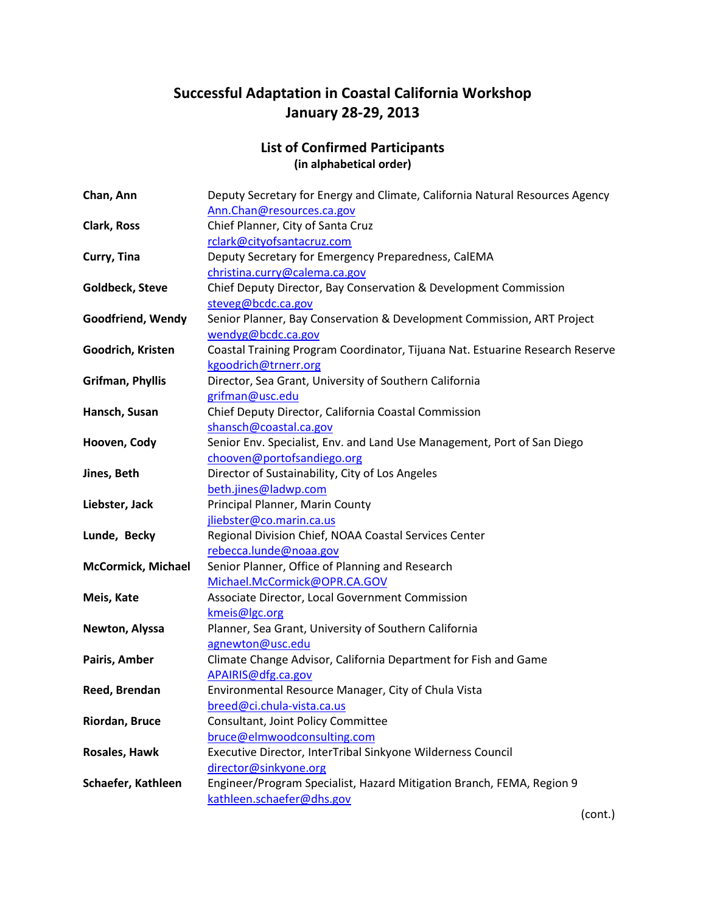# **Successful Adaptation in Coastal California Workshop January 28-29, 2013**

# **List of Confirmed Participants (in alphabetical order)**

| Chan, Ann                 | Deputy Secretary for Energy and Climate, California Natural Resources Agency  |
|---------------------------|-------------------------------------------------------------------------------|
|                           | Ann.Chan@resources.ca.gov                                                     |
| <b>Clark, Ross</b>        | Chief Planner, City of Santa Cruz                                             |
|                           | rclark@cityofsantacruz.com                                                    |
| Curry, Tina               | Deputy Secretary for Emergency Preparedness, CalEMA                           |
|                           | christina.curry@calema.ca.gov                                                 |
| Goldbeck, Steve           | Chief Deputy Director, Bay Conservation & Development Commission              |
|                           | steveg@bcdc.ca.gov                                                            |
| Goodfriend, Wendy         | Senior Planner, Bay Conservation & Development Commission, ART Project        |
|                           | wendyg@bcdc.ca.gov                                                            |
| Goodrich, Kristen         | Coastal Training Program Coordinator, Tijuana Nat. Estuarine Research Reserve |
|                           | kgoodrich@trnerr.org                                                          |
| Grifman, Phyllis          | Director, Sea Grant, University of Southern California                        |
|                           | grifman@usc.edu                                                               |
| Hansch, Susan             | Chief Deputy Director, California Coastal Commission                          |
|                           | shansch@coastal.ca.gov                                                        |
| Hooven, Cody              | Senior Env. Specialist, Env. and Land Use Management, Port of San Diego       |
|                           | chooven@portofsandiego.org                                                    |
| Jines, Beth               | Director of Sustainability, City of Los Angeles                               |
|                           | beth.jines@ladwp.com                                                          |
| Liebster, Jack            | Principal Planner, Marin County                                               |
|                           | jliebster@co.marin.ca.us                                                      |
| Lunde, Becky              | Regional Division Chief, NOAA Coastal Services Center                         |
|                           | rebecca.lunde@noaa.gov                                                        |
| <b>McCormick, Michael</b> | Senior Planner, Office of Planning and Research                               |
|                           | Michael.McCormick@OPR.CA.GOV                                                  |
| Meis, Kate                | Associate Director, Local Government Commission                               |
|                           | kmeis@lgc.org                                                                 |
| Newton, Alyssa            | Planner, Sea Grant, University of Southern California                         |
|                           | agnewton@usc.edu                                                              |
| Pairis, Amber             | Climate Change Advisor, California Department for Fish and Game               |
|                           | APAIRIS@dfg.ca.gov                                                            |
| Reed, Brendan             | Environmental Resource Manager, City of Chula Vista                           |
|                           | breed@ci.chula-vista.ca.us                                                    |
| Riordan, Bruce            | Consultant, Joint Policy Committee                                            |
|                           | bruce@elmwoodconsulting.com                                                   |
| Rosales, Hawk             | Executive Director, InterTribal Sinkyone Wilderness Council                   |
|                           | director@sinkyone.org                                                         |
| Schaefer, Kathleen        | Engineer/Program Specialist, Hazard Mitigation Branch, FEMA, Region 9         |
|                           | kathleen.schaefer@dhs.gov                                                     |

(cont.)